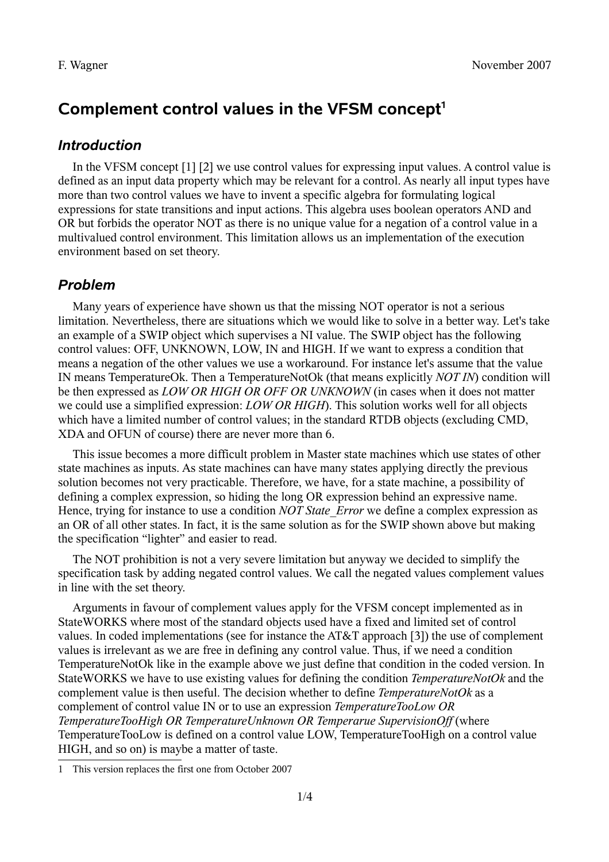# **Complement control values in the VFSM concept[1](#page-0-0)**

### *Introduction*

In the VFSM concept [1] [2] we use control values for expressing input values. A control value is defined as an input data property which may be relevant for a control. As nearly all input types have more than two control values we have to invent a specific algebra for formulating logical expressions for state transitions and input actions. This algebra uses boolean operators AND and OR but forbids the operator NOT as there is no unique value for a negation of a control value in a multivalued control environment. This limitation allows us an implementation of the execution environment based on set theory.

### *Problem*

Many years of experience have shown us that the missing NOT operator is not a serious limitation. Nevertheless, there are situations which we would like to solve in a better way. Let's take an example of a SWIP object which supervises a NI value. The SWIP object has the following control values: OFF, UNKNOWN, LOW, IN and HIGH. If we want to express a condition that means a negation of the other values we use a workaround. For instance let's assume that the value IN means TemperatureOk. Then a TemperatureNotOk (that means explicitly *NOT IN*) condition will be then expressed as *LOW OR HIGH OR OFF OR UNKNOWN* (in cases when it does not matter we could use a simplified expression: *LOW OR HIGH*). This solution works well for all objects which have a limited number of control values; in the standard RTDB objects (excluding CMD, XDA and OFUN of course) there are never more than 6.

This issue becomes a more difficult problem in Master state machines which use states of other state machines as inputs. As state machines can have many states applying directly the previous solution becomes not very practicable. Therefore, we have, for a state machine, a possibility of defining a complex expression, so hiding the long OR expression behind an expressive name. Hence, trying for instance to use a condition *NOT State Error* we define a complex expression as an OR of all other states. In fact, it is the same solution as for the SWIP shown above but making the specification "lighter" and easier to read.

The NOT prohibition is not a very severe limitation but anyway we decided to simplify the specification task by adding negated control values. We call the negated values complement values in line with the set theory.

Arguments in favour of complement values apply for the VFSM concept implemented as in StateWORKS where most of the standard objects used have a fixed and limited set of control values. In coded implementations (see for instance the AT&T approach [3]) the use of complement values is irrelevant as we are free in defining any control value. Thus, if we need a condition TemperatureNotOk like in the example above we just define that condition in the coded version. In StateWORKS we have to use existing values for defining the condition *TemperatureNotOk* and the complement value is then useful. The decision whether to define *TemperatureNotOk* as a complement of control value IN or to use an expression *TemperatureTooLow OR TemperatureTooHigh OR TemperatureUnknown OR Temperarue SupervisionOff* (where TemperatureTooLow is defined on a control value LOW, TemperatureTooHigh on a control value HIGH, and so on) is maybe a matter of taste.

<span id="page-0-0"></span><sup>1</sup> This version replaces the first one from October 2007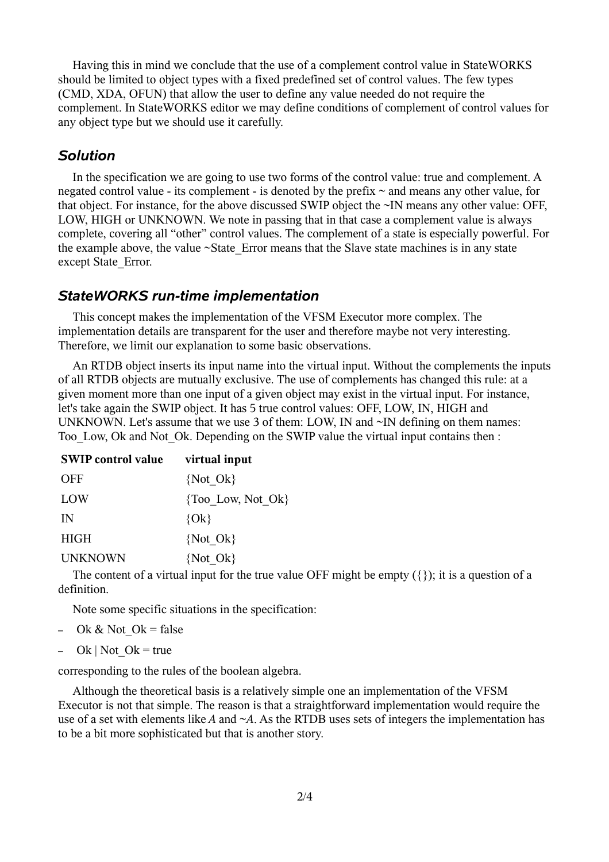Having this in mind we conclude that the use of a complement control value in StateWORKS should be limited to object types with a fixed predefined set of control values. The few types (CMD, XDA, OFUN) that allow the user to define any value needed do not require the complement. In StateWORKS editor we may define conditions of complement of control values for any object type but we should use it carefully.

#### *Solution*

In the specification we are going to use two forms of the control value: true and complement. A negated control value - its complement - is denoted by the prefix  $\sim$  and means any other value, for that object. For instance, for the above discussed SWIP object the ~IN means any other value: OFF, LOW, HIGH or UNKNOWN. We note in passing that in that case a complement value is always complete, covering all "other" control values. The complement of a state is especially powerful. For the example above, the value  $\sim$ State Error means that the Slave state machines is in any state except State\_Error.

#### *StateWORKS run-time implementation*

This concept makes the implementation of the VFSM Executor more complex. The implementation details are transparent for the user and therefore maybe not very interesting. Therefore, we limit our explanation to some basic observations.

An RTDB object inserts its input name into the virtual input. Without the complements the inputs of all RTDB objects are mutually exclusive. The use of complements has changed this rule: at a given moment more than one input of a given object may exist in the virtual input. For instance, let's take again the SWIP object. It has 5 true control values: OFF, LOW, IN, HIGH and UNKNOWN. Let's assume that we use 3 of them: LOW, IN and ~IN defining on them names: Too Low, Ok and Not Ok. Depending on the SWIP value the virtual input contains then :

| <b>SWIP control value</b> | virtual input         |
|---------------------------|-----------------------|
| <b>OFF</b>                | {Not Ok}              |
| LOW                       | $\{Too Low, Not Ok\}$ |
| IN                        | ${Ok}$                |
| <b>HIGH</b>               | {Not Ok}              |
| <b>UNKNOWN</b>            | {Not Ok}              |

The content of a virtual input for the true value OFF might be empty  $({\{\})$ ; it is a question of a definition.

Note some specific situations in the specification:

- Ok & Not Ok = false
- Ok | Not Ok = true

corresponding to the rules of the boolean algebra.

Although the theoretical basis is a relatively simple one an implementation of the VFSM Executor is not that simple. The reason is that a straightforward implementation would require the use of a set with elements like *A* and ~*A*. As the RTDB uses sets of integers the implementation has to be a bit more sophisticated but that is another story.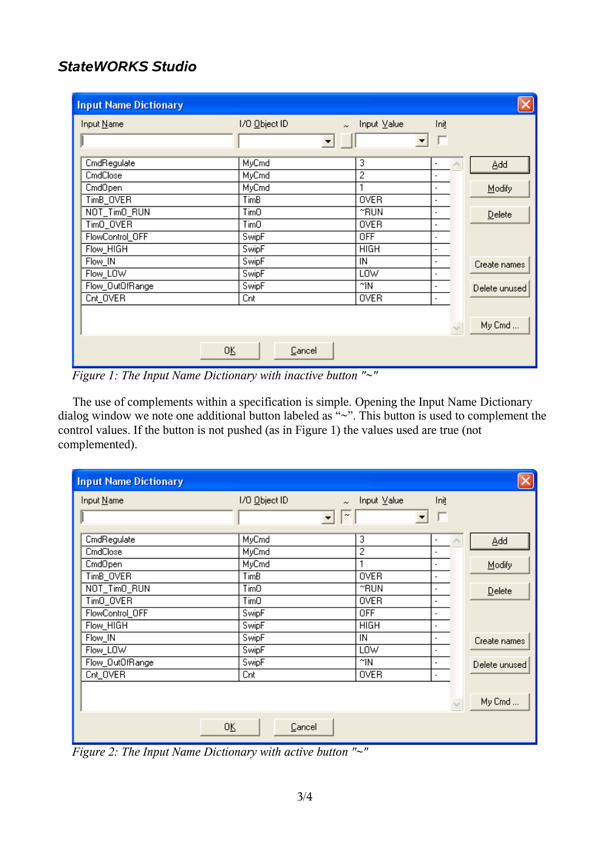## *StateWORKS Studio*

| <b>Input Name Dictionary</b> |                         |                       |                          |               |
|------------------------------|-------------------------|-----------------------|--------------------------|---------------|
| Input Name                   | I/O Object ID<br>$\sim$ | Input $\sqrt{2}$ alue | Init                     |               |
|                              | $\blacktriangledown$    |                       |                          |               |
| CmdRegulate                  | MyCmd                   | 3                     |                          | Add           |
| CmdClose                     | MyCmd                   | $\overline{2}$        |                          |               |
| CmdOpen                      | MyCmd                   |                       | $\blacksquare$           | Modify        |
| TimB_OVER                    | TimB                    | <b>OVER</b>           | $\blacksquare$           |               |
| NOT_TimO_RUN                 | TimO                    | $~\tilde{}$ RUN       | $\blacksquare$           | Delete        |
| TimO_OVER                    | TimO                    | <b>OVER</b>           | $\blacksquare$           |               |
| FlowControl_OFF              | SwipF                   | 0FF                   | $\blacksquare$           |               |
| Flow_HIGH                    | SwipF                   | HIGH                  | ٠                        |               |
| Flow_IN                      | SwipF                   | IN                    | $\overline{\phantom{a}}$ | Create names  |
| Flow_LOW                     | SwipF                   | LOW                   | $\blacksquare$           |               |
| Flow_OutOfRange              | SwipF                   | $^{\sim}$ IN          | $\blacksquare$           | Delete unused |
| Cnt_OVER                     | Cnt                     | <b>OVER</b>           | $\overline{\phantom{a}}$ |               |
|                              |                         |                       |                          |               |
|                              |                         |                       |                          | My Cmd        |
|                              |                         |                       |                          |               |
| 0K                           | Cancel                  |                       |                          |               |

<span id="page-2-0"></span>*Figure 1: The Input Name Dictionary with inactive button "~"*

The use of complements within a specification is simple. Opening the Input Name Dictionary dialog window we note one additional button labeled as "~". This button is used to complement the control values. If the button is not pushed (as in [Figure 1\)](#page-2-0) the values used are true (not complemented).

| <b>Input Name Dictionary</b> |                         |                |                          |               |
|------------------------------|-------------------------|----------------|--------------------------|---------------|
| Input Name                   | I/O Object ID<br>$\sim$ | Input Value    | Init                     |               |
|                              | $\tilde{}$              |                |                          |               |
| CmdRegulate                  | MyCmd                   | 3              | ٠                        | Add           |
| CmdClose                     | MyCmd                   | $\overline{2}$ | $\overline{a}$           |               |
| CmdOpen                      | MyCmd                   | ٠              | $\blacksquare$           | Modify        |
| TimB_OVER                    | TimB                    | <b>OVER</b>    | $\blacksquare$           |               |
| NOT_TimO_RUN                 | TimO                    | ≃RUN           | ٠                        | Delete        |
| TimO_OVER                    | TimO                    | <b>OVER</b>    | ٠                        |               |
| FlowControl_OFF              | SwipF                   | 0FF            | ٠                        |               |
| Flow_HIGH                    | SwipF                   | HIGH           | ٠                        |               |
| Flow_IN                      | SwipF                   | IN             | $\overline{\phantom{a}}$ | Create names  |
| Flow_LOW                     | SwipF                   | LOW            | $\blacksquare$           |               |
| Flow_OutOfRange              | SwipF                   | ≃IN            | $\overline{\phantom{a}}$ | Delete unused |
| Cnt_OVER                     | Cnt                     | <b>OVER</b>    | $\overline{\phantom{a}}$ |               |
|                              |                         |                |                          |               |
|                              |                         |                |                          | My Cmd        |
|                              |                         |                |                          |               |
| 0K                           | Cancel                  |                |                          |               |

<span id="page-2-1"></span>*Figure 2: The Input Name Dictionary with active button "~"*